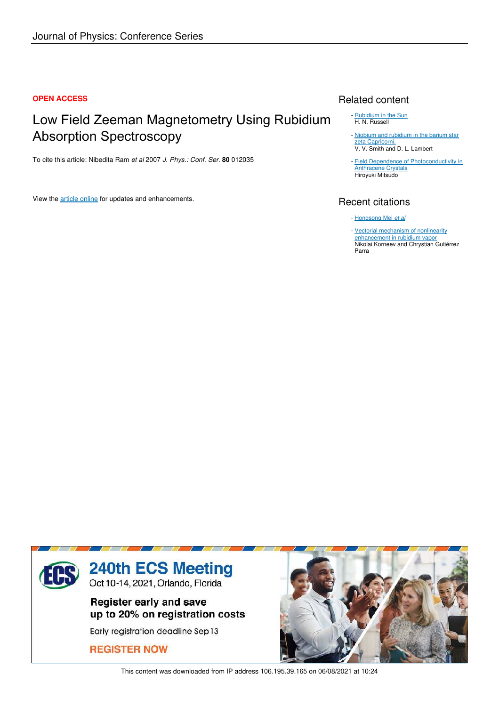#### **OPEN ACCESS**

# Low Field Zeeman Magnetometry Using Rubidium Absorption Spectroscopy

To cite this article: Nibedita Ram *et al* 2007 *J. Phys.: Conf. Ser.* **80** 012035

View the article online for updates and enhancements.

## Related content

- Rubidium in the Sun H. N. Russell
- Niobium and rubidium in the barium star zeta Capricorni. V. V. Smith and D. L. Lambert
- **Field Dependence of Photoconductivity in Anthracene Crystals** Hiroyuki Mitsudo

# Recent citations

- Hongsong Mei *et al*
- Vectorial mechanism of nonlinearity enhancement in rubidium vapor Nikolai Korneev and Chrystian Gutiérrez Parra



This content was downloaded from IP address 106.195.39.165 on 06/08/2021 at 10:24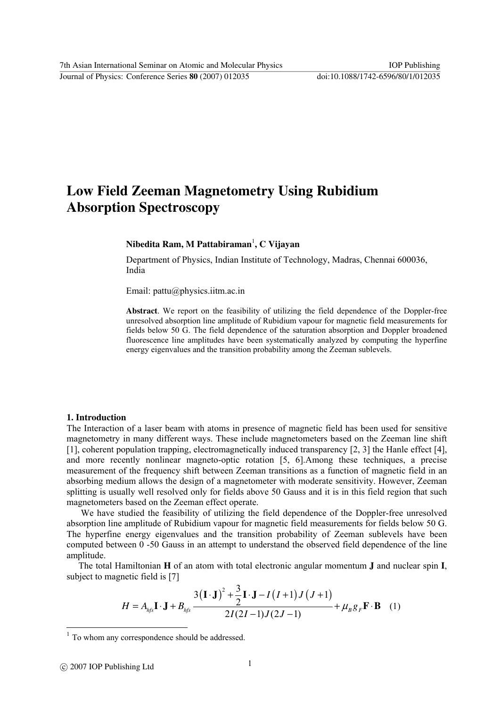7th Asian International Seminar on Atomic and Molecular Physics IOP Publishing

Journal of Physics: Conference Series **80** (2007) 012035 doi:10.1088/1742-6596/80/1/012035

# **Low Field Zeeman Magnetometry Using Rubidium Absorption Spectroscopy**

### **Nibedita Ram, M Pattabiraman**<sup>1</sup> **, C Vijayan**

Department of Physics, Indian Institute of Technology, Madras, Chennai 600036, India

Email: pattu@physics.iitm.ac.in

**Abstract**. We report on the feasibility of utilizing the field dependence of the Doppler-free unresolved absorption line amplitude of Rubidium vapour for magnetic field measurements for fields below 50 G. The field dependence of the saturation absorption and Doppler broadened fluorescence line amplitudes have been systematically analyzed by computing the hyperfine energy eigenvalues and the transition probability among the Zeeman sublevels.

#### **1. Introduction**

The Interaction of a laser beam with atoms in presence of magnetic field has been used for sensitive magnetometry in many different ways. These include magnetometers based on the Zeeman line shift [1], coherent population trapping, electromagnetically induced transparency [2, 3] the Hanle effect [4], and more recently nonlinear magneto-optic rotation [5, 6].Among these techniques, a precise measurement of the frequency shift between Zeeman transitions as a function of magnetic field in an absorbing medium allows the design of a magnetometer with moderate sensitivity. However, Zeeman splitting is usually well resolved only for fields above 50 Gauss and it is in this field region that such magnetometers based on the Zeeman effect operate.

 We have studied the feasibility of utilizing the field dependence of the Doppler-free unresolved absorption line amplitude of Rubidium vapour for magnetic field measurements for fields below 50 G. The hyperfine energy eigenvalues and the transition probability of Zeeman sublevels have been computed between 0 -50 Gauss in an attempt to understand the observed field dependence of the line amplitude.

The total Hamiltonian **H** of an atom with total electronic angular momentum **J** and nuclear spin **I**, subject to magnetic field is [7]

$$
H = Ahfs \mathbf{I} \cdot \mathbf{J} + Bhfs \frac{3(\mathbf{I} \cdot \mathbf{J})^2 + \frac{3}{2}\mathbf{I} \cdot \mathbf{J} - I(I+1)J(J+1)}{2I(2I-1)J(2J-1)} + \mu_B g_F \mathbf{F} \cdot \mathbf{B}
$$
 (1)

 $\ddot{\phantom{a}}$ 

<sup>&</sup>lt;sup>1</sup> To whom any correspondence should be addressed.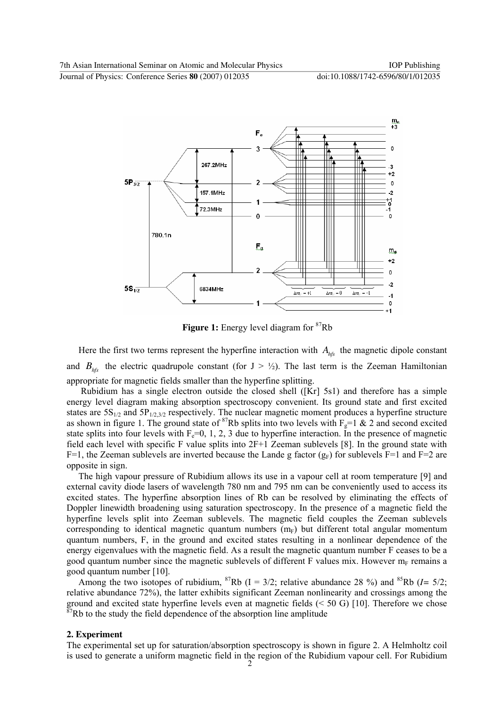

**Figure 1:** Energy level diagram for <sup>87</sup>Rb

Here the first two terms represent the hyperfine interaction with  $A_{hfs}$  the magnetic dipole constant and  $B<sub>hfs</sub>$  the electric quadrupole constant (for  $J > \frac{1}{2}$ ). The last term is the Zeeman Hamiltonian appropriate for magnetic fields smaller than the hyperfine splitting.

 Rubidium has a single electron outside the closed shell ([Kr] 5s1) and therefore has a simple energy level diagram making absorption spectroscopy convenient. Its ground state and first excited states are  $5S_{1/2}$  and  $5P_{1/2,3/2}$  respectively. The nuclear magnetic moment produces a hyperfine structure as shown in figure 1. The ground state of <sup>87</sup>Rb splits into two levels with  $F_g=1$  & 2 and second excited state splits into four levels with  $F_e=0$ , 1, 2, 3 due to hyperfine interaction. In the presence of magnetic field each level with specific F value splits into 2F+1 Zeeman sublevels [8]. In the ground state with F=1, the Zeeman sublevels are inverted because the Lande g factor  $(g_F)$  for sublevels F=1 and F=2 are opposite in sign.

The high vapour pressure of Rubidium allows its use in a vapour cell at room temperature [9] and external cavity diode lasers of wavelength 780 nm and 795 nm can be conveniently used to access its excited states. The hyperfine absorption lines of Rb can be resolved by eliminating the effects of Doppler linewidth broadening using saturation spectroscopy. In the presence of a magnetic field the hyperfine levels split into Zeeman sublevels. The magnetic field couples the Zeeman sublevels corresponding to identical magnetic quantum numbers  $(m_F)$  but different total angular momentum quantum numbers, F, in the ground and excited states resulting in a nonlinear dependence of the energy eigenvalues with the magnetic field. As a result the magnetic quantum number F ceases to be a good quantum number since the magnetic sublevels of different F values mix. However  $m_F$  remains a good quantum number [10].

Among the two isotopes of rubidium, <sup>87</sup>Rb ( $I = 3/2$ ; relative abundance 28 %) and <sup>85</sup>Rb ( $I = 5/2$ ; relative abundance 72%), the latter exhibits significant Zeeman nonlinearity and crossings among the ground and excited state hyperfine levels even at magnetic fields (< 50 G) [10]. Therefore we chose  $87Rb$  to the study the field dependence of the absorption line amplitude

#### **2. Experiment**

The experimental set up for saturation/absorption spectroscopy is shown in figure 2. A Helmholtz coil is used to generate a uniform magnetic field in the region of the Rubidium vapour cell. For Rubidium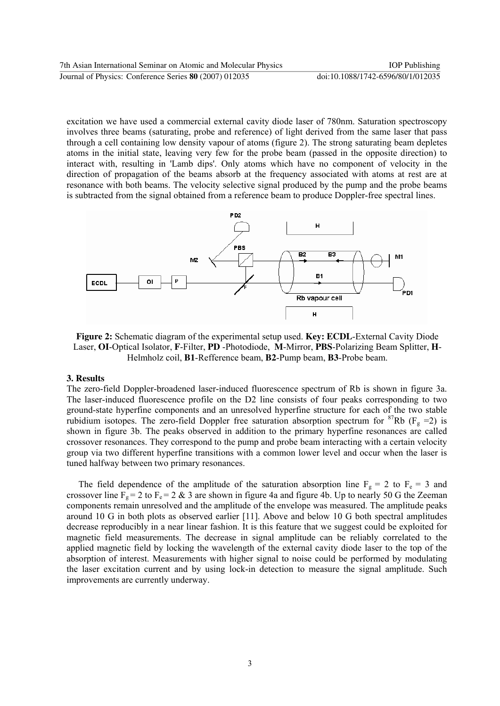excitation we have used a commercial external cavity diode laser of 780nm. Saturation spectroscopy involves three beams (saturating, probe and reference) of light derived from the same laser that pass through a cell containing low density vapour of atoms (figure 2). The strong saturating beam depletes atoms in the initial state, leaving very few for the probe beam (passed in the opposite direction) to interact with, resulting in 'Lamb dips'. Only atoms which have no component of velocity in the direction of propagation of the beams absorb at the frequency associated with atoms at rest are at resonance with both beams. The velocity selective signal produced by the pump and the probe beams is subtracted from the signal obtained from a reference beam to produce Doppler-free spectral lines.



**Figure 2:** Schematic diagram of the experimental setup used. **Key: ECDL**-External Cavity Diode Laser, **OI**-Optical Isolator, **F**-Filter, **PD** -Photodiode, **M**-Mirror, **PBS**-Polarizing Beam Splitter, **H**-Helmholz coil, **B1**-Refference beam, **B2**-Pump beam, **B3**-Probe beam.

#### **3. Results**

The zero-field Doppler-broadened laser-induced fluorescence spectrum of Rb is shown in figure 3a. The laser-induced fluorescence profile on the D2 line consists of four peaks corresponding to two ground-state hyperfine components and an unresolved hyperfine structure for each of the two stable rubidium isotopes. The zero-field Doppler free saturation absorption spectrum for <sup>87</sup>Rb (F<sub>g</sub> =2) is shown in figure 3b. The peaks observed in addition to the primary hyperfine resonances are called crossover resonances. They correspond to the pump and probe beam interacting with a certain velocity group via two different hyperfine transitions with a common lower level and occur when the laser is tuned halfway between two primary resonances.

The field dependence of the amplitude of the saturation absorption line  $F_g = 2$  to  $F_e = 3$  and crossover line  $F_g = 2$  to  $F_e = 2 \& 3$  are shown in figure 4a and figure 4b. Up to nearly 50 G the Zeeman components remain unresolved and the amplitude of the envelope was measured. The amplitude peaks around 10 G in both plots as observed earlier [11]. Above and below 10 G both spectral amplitudes decrease reproducibly in a near linear fashion. It is this feature that we suggest could be exploited for magnetic field measurements. The decrease in signal amplitude can be reliably correlated to the applied magnetic field by locking the wavelength of the external cavity diode laser to the top of the absorption of interest. Measurements with higher signal to noise could be performed by modulating the laser excitation current and by using lock-in detection to measure the signal amplitude. Such improvements are currently underway.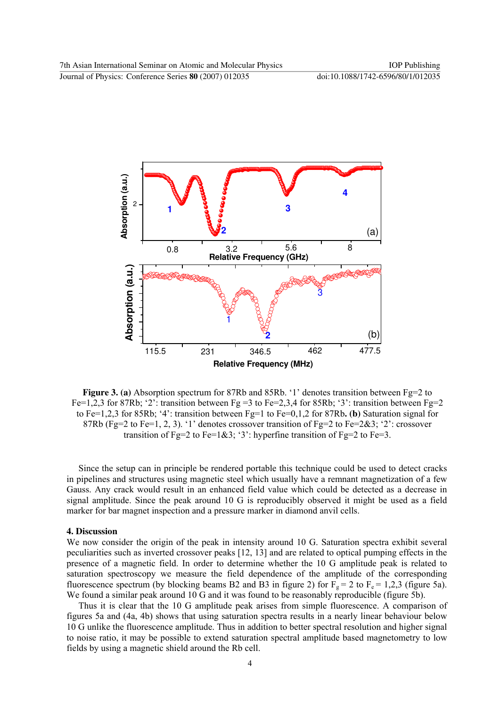

**Figure 3. (a)** Absorption spectrum for 87Rb and 85Rb. '1' denotes transition between Fg=2 to Fe=1,2,3 for 87Rb; '2': transition between Fg =3 to Fe=2,3,4 for 85Rb; '3': transition between Fg=2 to Fe=1,2,3 for 85Rb; '4': transition between Fg=1 to Fe=0,1,2 for 87Rb**. (b)** Saturation signal for 87Rb (Fg=2 to Fe=1, 2, 3). '1' denotes crossover transition of Fg=2 to Fe=2&3; '2': crossover transition of Fg=2 to Fe=1&3; '3': hyperfine transition of Fg=2 to Fe=3.

Since the setup can in principle be rendered portable this technique could be used to detect cracks in pipelines and structures using magnetic steel which usually have a remnant magnetization of a few Gauss. Any crack would result in an enhanced field value which could be detected as a decrease in signal amplitude. Since the peak around 10 G is reproducibly observed it might be used as a field marker for bar magnet inspection and a pressure marker in diamond anvil cells.

#### **4. Discussion**

We now consider the origin of the peak in intensity around 10 G. Saturation spectra exhibit several peculiarities such as inverted crossover peaks [12, 13] and are related to optical pumping effects in the presence of a magnetic field. In order to determine whether the 10 G amplitude peak is related to saturation spectroscopy we measure the field dependence of the amplitude of the corresponding fluorescence spectrum (by blocking beams B2 and B3 in figure 2) for  $F_g = 2$  to  $F_e = 1,2,3$  (figure 5a). We found a similar peak around 10 G and it was found to be reasonably reproducible (figure 5b).

Thus it is clear that the 10 G amplitude peak arises from simple fluorescence. A comparison of figures 5a and (4a, 4b) shows that using saturation spectra results in a nearly linear behaviour below 10 G unlike the fluorescence amplitude. Thus in addition to better spectral resolution and higher signal to noise ratio, it may be possible to extend saturation spectral amplitude based magnetometry to low fields by using a magnetic shield around the Rb cell.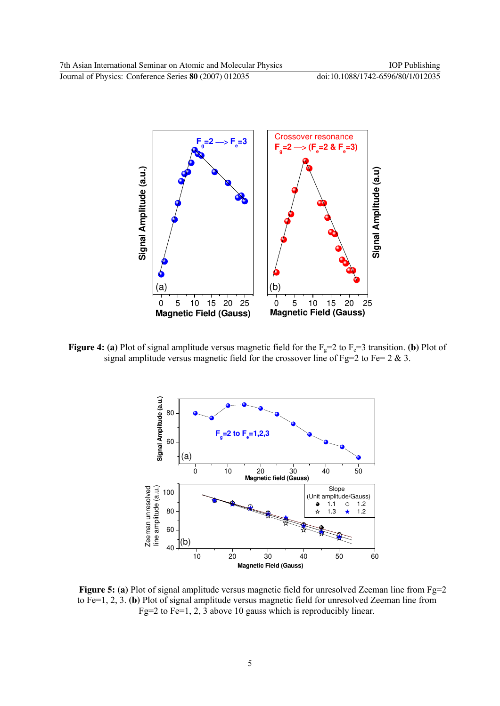

**Figure 4: (a)** Plot of signal amplitude versus magnetic field for the  $F_g=2$  to  $F_e=3$  transition. **(b)** Plot of signal amplitude versus magnetic field for the crossover line of Fg=2 to Fe=  $2 \& 3$ .



**Figure 5:** (a) Plot of signal amplitude versus magnetic field for unresolved Zeeman line from Fg=2 to Fe=1, 2, 3. **(b)** Plot of signal amplitude versus magnetic field for unresolved Zeeman line from Fg=2 to Fe=1, 2,  $\overline{3}$  above 10 gauss which is reproducibly linear.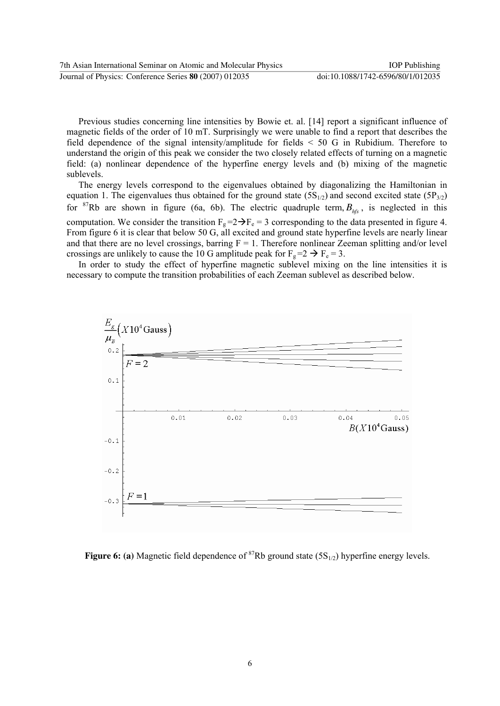Previous studies concerning line intensities by Bowie et. al. [14] report a significant influence of magnetic fields of the order of 10 mT. Surprisingly we were unable to find a report that describes the field dependence of the signal intensity/amplitude for fields < 50 G in Rubidium. Therefore to understand the origin of this peak we consider the two closely related effects of turning on a magnetic field: (a) nonlinear dependence of the hyperfine energy levels and (b) mixing of the magnetic sublevels.

The energy levels correspond to the eigenvalues obtained by diagonalizing the Hamiltonian in equation 1. The eigenvalues thus obtained for the ground state  $(5S_{1/2})$  and second excited state  $(5P_{3/2})$ for <sup>87</sup>Rb are shown in figure (6a, 6b). The electric quadruple term,  $B_{hfs}$ , is neglected in this computation. We consider the transition  $F_g = 2 \rightarrow F_e = 3$  corresponding to the data presented in figure 4. From figure 6 it is clear that below 50 G, all excited and ground state hyperfine levels are nearly linear and that there are no level crossings, barring  $F = 1$ . Therefore nonlinear Zeeman splitting and/or level crossings are unlikely to cause the 10 G amplitude peak for  $F_g = 2 \rightarrow F_e = 3$ .

In order to study the effect of hyperfine magnetic sublevel mixing on the line intensities it is necessary to compute the transition probabilities of each Zeeman sublevel as described below.



**Figure 6: (a)** Magnetic field dependence of <sup>87</sup>Rb ground state (5S<sub>1/2</sub>) hyperfine energy levels.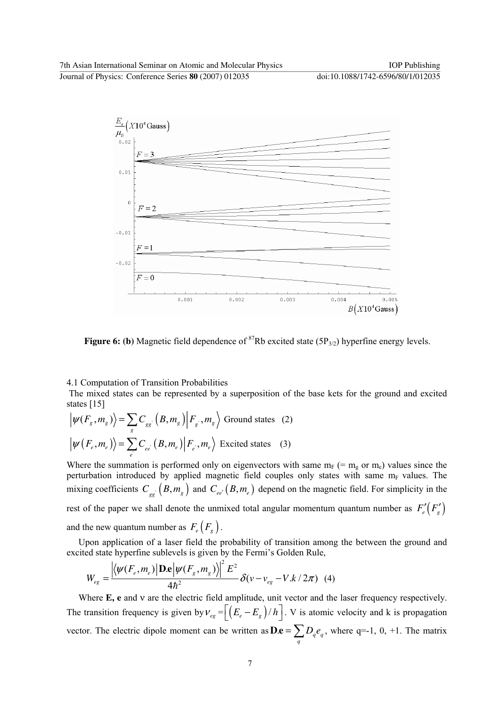$\frac{E_e}{\mu_B}$  (X10<sup>4</sup> Gauss)  $0.02$  $F = 3$  $0.01$ d  $F=2$  $-0.01$  $F=1$  $-0.02$  $F=0$  $0.004$  $0.005$  $0.001$  $0.002$  $0.003$  $B(X10^4$ Gauss

**Figure 6:** (b) Magnetic field dependence of  ${}^{87}$ Rb excited state (5P<sub>3/2</sub>) hyperfine energy levels.

### 4.1 Computation of Transition Probabilities

The mixed states can be represented by a superposition of the base kets for the ground and excited states [15]

$$
\left| \psi(F_s, m_s) \right\rangle = \sum_{g} C_{gg} \left( B, m_g \right) \left| F_g, m_g \right\rangle \text{ Ground states} \quad (2)
$$
\n
$$
\left| \psi(F_e, m_e) \right\rangle = \sum_{e} C_{ee} \left( B, m_e \right) \left| F_e, m_e \right\rangle \text{ Excited states} \quad (3)
$$

Where the summation is performed only on eigenvectors with same  $m_F$  (=  $m_e$  or  $m_e$ ) values since the perturbation introduced by applied magnetic field couples only states with same  $m_F$  values. The mixing coefficients  $C_{gg}$   $(B, m_g)$  and  $C_{ee}$   $(B, m_e)$  depend on the magnetic field. For simplicity in the rest of the paper we shall denote the unmixed total angular momentum quantum number as  $F'_{e}(F'_{g})$ and the new quantum number as  $F_e(F_g)$ .

Upon application of a laser field the probability of transition among the between the ground and excited state hyperfine sublevels is given by the Fermi's Golden Rule,

$$
W_{eg} = \frac{\left| \langle \psi(F_e, m_e) | \mathbf{D} \mathbf{e} | \psi(F_g, m_g) \rangle \right|^2 E^2}{4\hbar^2} \delta(\nu - \nu_{eg} - V.k/2\pi) \tag{4}
$$

Where **E, e** and ν are the electric field amplitude, unit vector and the laser frequency respectively. The transition frequency is given by  $v_{eg} = \left[ \left( E_e - E_g \right) / h \right]$ . V is atomic velocity and k is propagation vector. The electric dipole moment can be written as  $\mathbf{D}.\mathbf{e} = \sum D_q e_q$ **D.e** =  $\sum_{q} D_q e_q$ , where q=-1, 0, +1. The matrix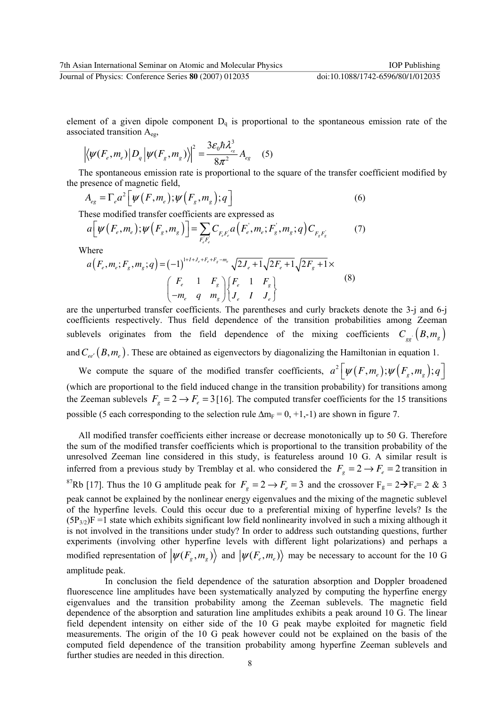element of a given dipole component  $D_q$  is proportional to the spontaneous emission rate of the associated transition  $A_{eg}$ ,

$$
\left| \langle \psi(F_e, m_e) | D_q | \psi(F_g, m_g) \rangle \right|^2 = \frac{3\varepsilon_0 \hbar \lambda_{ee}^3}{8\pi^2} A_{eg} \quad (5)
$$

The spontaneous emission rate is proportional to the square of the transfer coefficient modified by the presence of magnetic field,

$$
A_{eg} = \Gamma_e a^2 \left[ \psi \left( F, m_e \right); \psi \left( F_g, m_g \right); q \right] \tag{6}
$$

These modified transfer coefficients are expressed as

$$
a\Big[\psi(F_e, m_e), \psi(F_g, m_g)\Big] = \sum_{F_e, F_e} C_{F_e, F_e} a\Big(F_e, m_e; F_g, m_g; q\Big) C_{F_g, F_g'} \tag{7}
$$

Where

$$
a(F_e, m_e; F_g, m_g; q) = (-1)^{1 + I + J_e + F_e + F_g - m_e} \sqrt{2J_e + 1} \sqrt{2F_e + 1} \sqrt{2F_g + 1} \times
$$
  

$$
\begin{pmatrix} F_e & 1 & F_g \\ -m_e & q & m_g \end{pmatrix} \begin{cases} F_e & 1 & F_g \\ J_e & I & J_e \end{cases}
$$
 (8)

are the unperturbed transfer coefficients. The parentheses and curly brackets denote the 3-j and 6-j coefficients respectively. Thus field dependence of the transition probabilities among Zeeman sublevels originates from the field dependence of the mixing coefficients  $C_{gg}$   $(B, m_g)$ and  $C_{ee}$ <sup> $(P,m_e)$ </sup>. These are obtained as eigenvectors by diagonalizing the Hamiltonian in equation 1.

We compute the square of the modified transfer coefficients,  $a^2 \left[ \psi(F, m_e); \psi(F_s, m_g); q \right]$ (which are proportional to the field induced change in the transition probability) for transitions among the Zeeman sublevels  $F_g = 2 \rightarrow F_e = 3$  [16]. The computed transfer coefficients for the 15 transitions possible (5 each corresponding to the selection rule  $\Delta m_F = 0, +1, -1$ ) are shown in figure 7.

All modified transfer coefficients either increase or decrease monotonically up to 50 G. Therefore the sum of the modified transfer coefficients which is proportional to the transition probability of the unresolved Zeeman line considered in this study, is featureless around 10 G. A similar result is inferred from a previous study by Tremblay et al. who considered the  $F_g = 2 \rightarrow F_e = 2$  transition in <sup>87</sup>Rb [17]. Thus the 10 G amplitude peak for  $F_g = 2 \rightarrow F_e = 3$  and the crossover  $F_g = 2 \rightarrow F_e = 2 \& 3$ peak cannot be explained by the nonlinear energy eigenvalues and the mixing of the magnetic sublevel of the hyperfine levels. Could this occur due to a preferential mixing of hyperfine levels? Is the  $(5P_{3/2})F = 1$  state which exhibits significant low field nonlinearity involved in such a mixing although it is not involved in the transitions under study? In order to address such outstanding questions, further experiments (involving other hyperfine levels with different light polarizations) and perhaps a modified representation of  $|\psi(F_g, m_g) \rangle$  and  $|\psi(F_e, m_e) \rangle$  may be necessary to account for the 10 G amplitude peak.

 In conclusion the field dependence of the saturation absorption and Doppler broadened fluorescence line amplitudes have been systematically analyzed by computing the hyperfine energy eigenvalues and the transition probability among the Zeeman sublevels. The magnetic field dependence of the absorption and saturation line amplitudes exhibits a peak around 10 G. The linear field dependent intensity on either side of the 10 G peak maybe exploited for magnetic field measurements. The origin of the 10 G peak however could not be explained on the basis of the computed field dependence of the transition probability among hyperfine Zeeman sublevels and further studies are needed in this direction.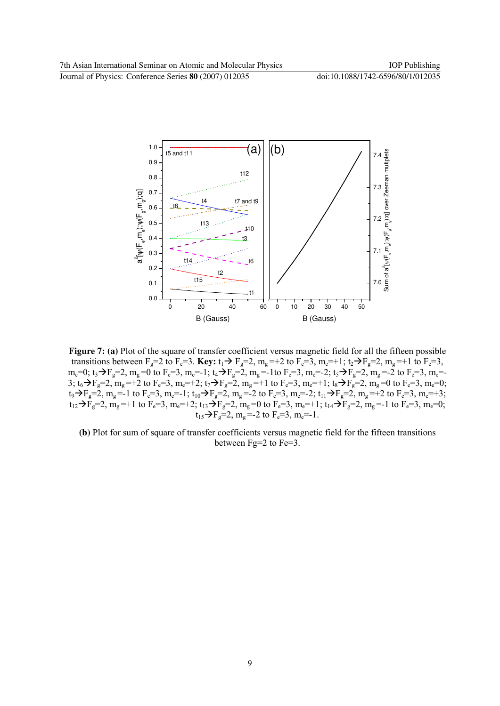

**Figure 7: (a)** Plot of the square of transfer coefficient versus magnetic field for all the fifteen possible transitions between  $F_g=2$  to  $F_e=3$ . **Key:**  $t_1 \rightarrow F_g=2$ ,  $m_g =+2$  to  $F_e=3$ ,  $m_e =+1$ ;  $t_2 \rightarrow F_g=2$ ,  $m_g =+1$  to  $F_e=3$ ,  $m_e=0$ ;  $t_3 \rightarrow F_g=2$ ,  $m_g=0$  to  $F_e=3$ ,  $m_e=-1$ ;  $t_4 \rightarrow F_g=2$ ,  $m_g=-1$ to  $F_e=3$ ,  $m_e=-2$ ;  $t_5 \rightarrow F_g=2$ ,  $m_g=-2$  to  $F_e=3$ ,  $m_e=-1$ 3;  $t_6 \rightarrow F_g = 2$ ,  $m_g = +2$  to  $F_e = 3$ ,  $m_e = +2$ ;  $t_7 \rightarrow F_g = 2$ ,  $m_g = +1$  to  $F_e = 3$ ,  $m_e = +1$ ;  $t_8 \rightarrow F_g = 2$ ,  $m_g = 0$  to  $F_e = 3$ ,  $m_e = 0$ ;  $t_9 \rightarrow F_g=2$ ,  $m_g = -1$  to  $F_e=3$ ,  $m_e = -1$ ;  $t_{10} \rightarrow F_g=2$ ,  $m_g = -2$  to  $F_e=3$ ,  $m_e = -2$ ;  $t_{11} \rightarrow F_g=2$ ,  $m_g = +2$  to  $F_e=3$ ,  $m_e = +3$ ;  $t_{12}$   $\rightarrow$   $\tilde{F}_g$  = 2,  $\tilde{m}_g$  = +1 to F<sub>e</sub>=3,  $m_e$  = +2;  $t_{13}$   $\rightarrow$   $F_g$  = 2,  $\tilde{m}_g$  = 0 to F<sub>e</sub>=3,  $\tilde{m}_e$  = +1;  $t_{14}$   $\rightarrow$   $\tilde{F}_g$  = 2,  $\tilde{m}_g$  = -1 to F<sub>e</sub>=3,  $\tilde{m}_e$  = 0;  $t_{15} \rightarrow F_g = 2$ , m<sub>g</sub> = -2 to  $F_e = 3$ , m<sub>e</sub> = -1.

**(b)** Plot for sum of square of transfer coefficients versus magnetic field for the fifteen transitions between Fg=2 to Fe=3.